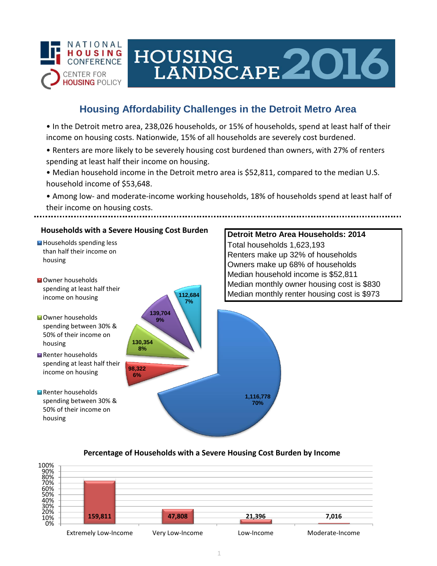

# HOUSING LANDSCAPE 2016

## **Housing Affordability Challenges in the Detroit Metro Area**

• In the Detroit metro area, 238,026 households, or 15% of households, spend at least half of their income on housing costs. Nationwide, 15% of all households are severely cost burdened.

- Renters are more likely to be severely housing cost burdened than owners, with 27% of renters spending at least half their income on housing.
- Median household income in the Detroit metro area is \$52,811, compared to the median U.S. household income of \$53,648.

• Among low- and moderate-income working households, 18% of households spend at least half of their income on housing costs.



### **Percentage of Households with a Severe Housing Cost Burden by Income**